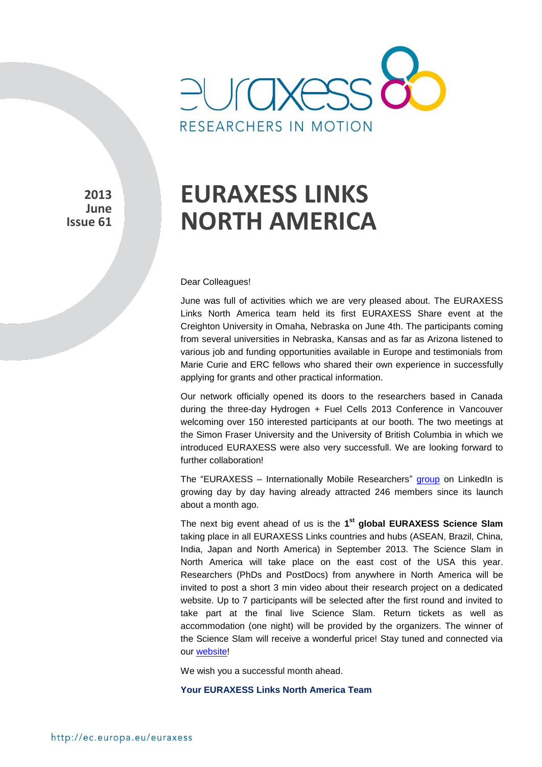

**2013 June Issue 61**

# **EURAXESS LINKS NORTH AMERICA**

#### Dear Colleagues!

June was full of activities which we are very pleased about. The EURAXESS Links North America team held its first EURAXESS Share event at the Creighton University in Omaha, Nebraska on June 4th. The participants coming from several universities in Nebraska, Kansas and as far as Arizona listened to various job and funding opportunities available in Europe and testimonials from Marie Curie and ERC fellows who shared their own experience in successfully applying for grants and other practical information.

Our network officially opened its doors to the researchers based in Canada during the three-day Hydrogen + Fuel Cells 2013 Conference in Vancouver welcoming over 150 interested participants at our booth. The two meetings at the Simon Fraser University and the University of British Columbia in which we introduced EURAXESS were also very successfull. We are looking forward to further collaboration!

The "EURAXESS – Internationally Mobile Researchers" [group](http://www.linkedin.com/groups?home=&gid=4990889&trk=anet_ug_hm&goback=%2Egmp_4990889) on LinkedIn is growing day by day having already attracted 246 members since its launch about a month ago.

The next big event ahead of us is the **1 st global EURAXESS Science Slam** taking place in all EURAXESS Links countries and hubs (ASEAN, Brazil, China, India, Japan and North America) in September 2013. The Science Slam in North America will take place on the east cost of the USA this year. Researchers (PhDs and PostDocs) from anywhere in North America will be invited to post a short 3 min video about their research project on a dedicated website. Up to 7 participants will be selected after the first round and invited to take part at the final live Science Slam. Return tickets as well as accommodation (one night) will be provided by the organizers. The winner of the Science Slam will receive a wonderful price! Stay tuned and connected via our [website!](http://ec.europa.eu/euraxess/links/usa/index_en.htm)

We wish you a successful month ahead.

#### **Your EURAXESS Links North America Team**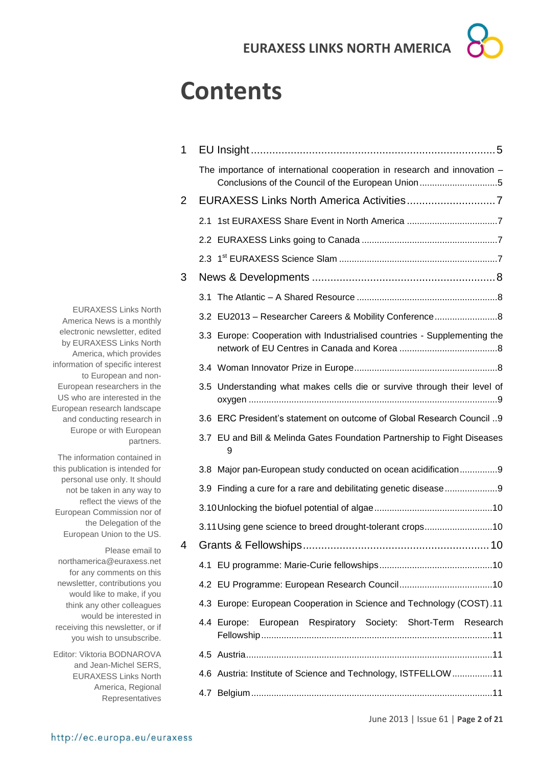## **Contents**

| 1 |                                                                                                                               |
|---|-------------------------------------------------------------------------------------------------------------------------------|
|   | The importance of international cooperation in research and innovation -<br>Conclusions of the Council of the European Union5 |
| 2 |                                                                                                                               |
|   | 2.1                                                                                                                           |
|   |                                                                                                                               |
|   |                                                                                                                               |
| 3 |                                                                                                                               |
|   |                                                                                                                               |
|   | 3.2 EU2013 - Researcher Careers & Mobility Conference                                                                         |
|   | 3.3 Europe: Cooperation with Industrialised countries - Supplementing the                                                     |
|   |                                                                                                                               |
|   | 3.5 Understanding what makes cells die or survive through their level of                                                      |
|   | 3.6 ERC President's statement on outcome of Global Research Council 9                                                         |
|   | 3.7 EU and Bill & Melinda Gates Foundation Partnership to Fight Diseases<br>9                                                 |
|   |                                                                                                                               |
|   | 3.8 Major pan-European study conducted on ocean acidification9                                                                |
|   | 3.9 Finding a cure for a rare and debilitating genetic disease9                                                               |
|   |                                                                                                                               |
|   | 3.11 Using gene science to breed drought-tolerant crops10                                                                     |
| 4 |                                                                                                                               |
|   |                                                                                                                               |
|   |                                                                                                                               |
|   | 4.3 Europe: European Cooperation in Science and Technology (COST).11                                                          |
|   | European Respiratory Society: Short-Term Research<br>4.4 Europe:                                                              |
|   |                                                                                                                               |
|   | 4.6 Austria: Institute of Science and Technology, ISTFELLOW11                                                                 |

EURAXESS Links North America News is a monthly electronic newsletter, edited by EURAXESS Links North America, which provides information of specific interest to European and non-European researchers in the US who are interested in the European research landscape and conducting research in Europe or with European partners.

The information contained in this publication is intended for personal use only. It should not be taken in any way to reflect the views of the European Commission nor of the Delegation of the European Union to the US.

Please email to northamerica@euraxess.net for any comments on this newsletter, contributions you would like to make, if you think any other colleagues would be interested in receiving this newsletter, or if you wish to unsubscribe.

Editor: Viktoria BODNAROVA and Jean-Michel SERS, EURAXESS Links North America, Regional Representatives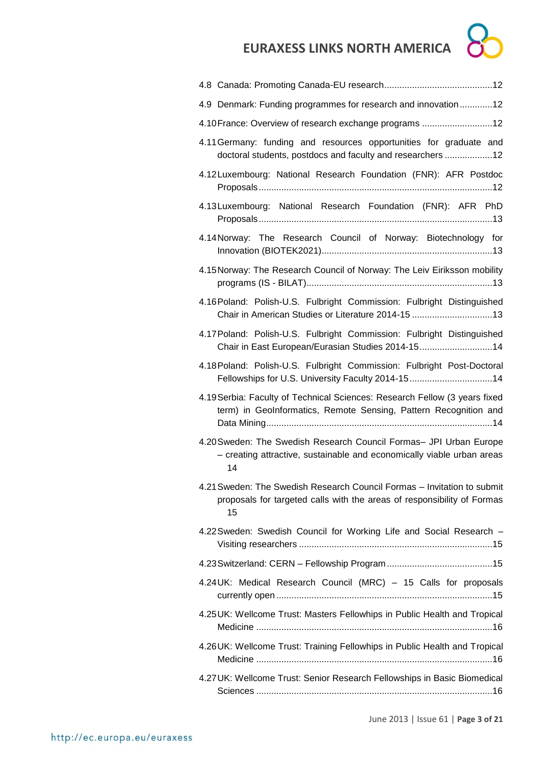| <b>CA</b> |    |
|-----------|----|
|           | 12 |

| 4.9 Denmark: Funding programmes for research and innovation12                                                                                            |
|----------------------------------------------------------------------------------------------------------------------------------------------------------|
| 4.10 France: Overview of research exchange programs 12                                                                                                   |
| 4.11 Germany: funding and resources opportunities for graduate and<br>doctoral students, postdocs and faculty and researchers 12                         |
| 4.12Luxembourg: National Research Foundation (FNR): AFR Postdoc                                                                                          |
| 4.13 Luxembourg: National Research Foundation (FNR): AFR PhD                                                                                             |
| 4.14 Norway: The Research Council of Norway: Biotechnology for                                                                                           |
| 4.15 Norway: The Research Council of Norway: The Leiv Eiriksson mobility                                                                                 |
| 4.16 Poland: Polish-U.S. Fulbright Commission: Fulbright Distinguished<br>Chair in American Studies or Literature 2014-15 13                             |
| 4.17 Poland: Polish-U.S. Fulbright Commission: Fulbright Distinguished<br>Chair in East European/Eurasian Studies 2014-1514                              |
| 4.18 Poland: Polish-U.S. Fulbright Commission: Fulbright Post-Doctoral<br>Fellowships for U.S. University Faculty 2014-1514                              |
| 4.19 Serbia: Faculty of Technical Sciences: Research Fellow (3 years fixed<br>term) in GeoInformatics, Remote Sensing, Pattern Recognition and           |
| 4.20 Sweden: The Swedish Research Council Formas- JPI Urban Europe<br>- creating attractive, sustainable and economically viable urban areas<br>14       |
| 4.21 Sweden: The Swedish Research Council Formas - Invitation to submit<br>proposals for targeted calls with the areas of responsibility of Formas<br>15 |
| 4.22 Sweden: Swedish Council for Working Life and Social Research -                                                                                      |
|                                                                                                                                                          |
| 4.24UK: Medical Research Council (MRC) - 15 Calls for proposals                                                                                          |
| 4.25 UK: Wellcome Trust: Masters Fellowhips in Public Health and Tropical                                                                                |
| 4.26 UK: Wellcome Trust: Training Fellowhips in Public Health and Tropical                                                                               |
|                                                                                                                                                          |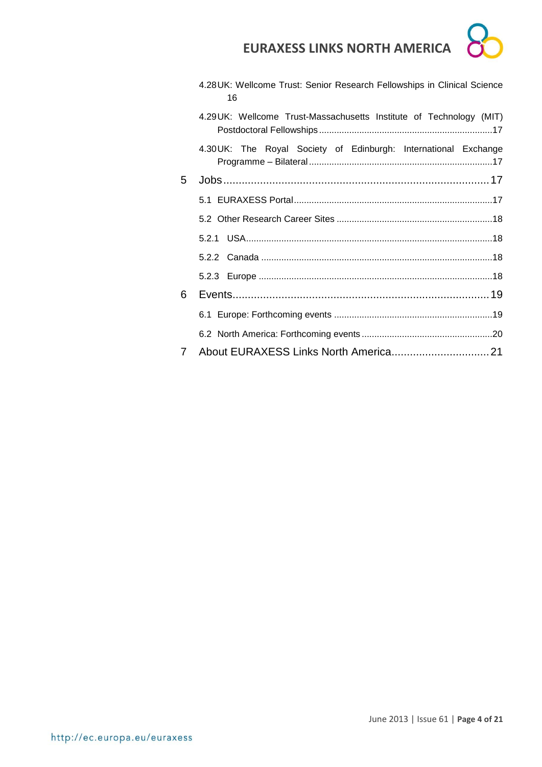|   | 4.28 UK: Wellcome Trust: Senior Research Fellowships in Clinical Science<br>16 |
|---|--------------------------------------------------------------------------------|
|   | 4.29UK: Wellcome Trust-Massachusetts Institute of Technology (MIT)             |
|   | 4.30 UK: The Royal Society of Edinburgh: International Exchange                |
| 5 |                                                                                |
|   |                                                                                |
|   |                                                                                |
|   |                                                                                |
|   |                                                                                |
|   |                                                                                |
| 6 |                                                                                |
|   |                                                                                |
|   |                                                                                |
| 7 |                                                                                |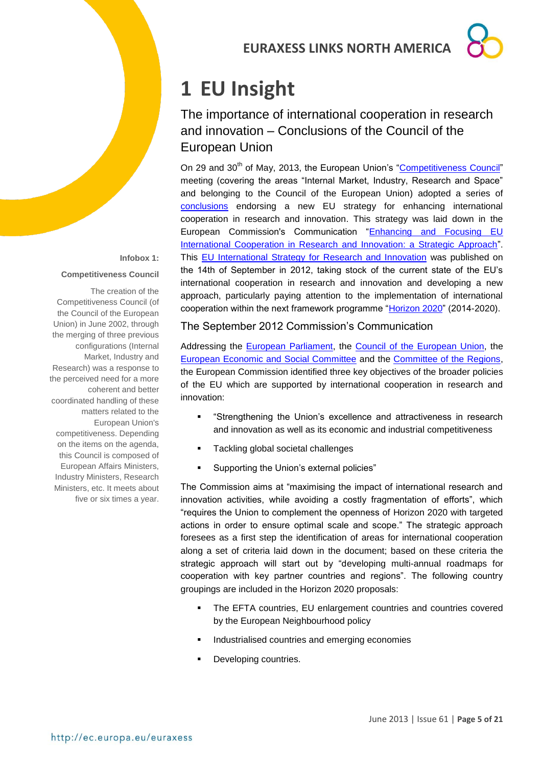## <span id="page-4-0"></span>**1 EU Insight**

## <span id="page-4-1"></span>The importance of international cooperation in research and innovation – Conclusions of the Council of the European Union

On 29 and 30<sup>th</sup> of May, 2013, the European Union's ["Competitiveness Council"](http://www.consilium.europa.eu/policies/council-configurations/competitiveness?lang=en) meeting (covering the areas "Internal Market, Industry, Research and Space" and belonging to the Council of the European Union) adopted a series of [conclusions](http://www.consilium.europa.eu/uedocs/cms_data/docs/pressdata/en/intm/137346.pdf) endorsing a new EU strategy for enhancing international cooperation in research and innovation. This strategy was laid down in the European Commission's Communication "Enhancing and Focusing EU [International Cooperation in Research and Innovation: a Strategic Approach"](http://ec.europa.eu/research/iscp/pdf/com_2012_497_communication_from_commission_to_inst_en.pdf). This [EU International Strategy for Research and Innovation](http://ec.europa.eu/research/iscp/index.cfm?lg=en&pg=strategy) was published on the 14th of September in 2012, taking stock of the current state of the EU's international cooperation in research and innovation and developing a new approach, particularly paying attention to the implementation of international cooperation within the next framework programme ["Horizon 2020"](http://ec.europa.eu/research/horizon2020/index_en.cfm) (2014-2020).

#### **Competitiveness Council**

**Infobox 1:**

The creation of the Competitiveness Council (of the Council of the European Union) in June 2002, through the merging of three previous configurations (Internal Market, Industry and Research) was a response to the perceived need for a more coherent and better coordinated handling of these matters related to the European Union's competitiveness. Depending on the items on the agenda, this Council is composed of European Affairs Ministers, Industry Ministers, Research Ministers, etc. It meets about five or six times a year.

The September 2012 Commission's Communication

Addressing the [European Parliament,](http://www.europarl.europa.eu/portal/en) the [Council of the European Union,](http://www.consilium.europa.eu/council?lang=en) the [European Economic and Social Committee](http://www.eesc.europa.eu/?i=portal.en.home) and the [Committee of the Regions,](http://cor.europa.eu/en/Pages/home.aspx) the European Commission identified three key objectives of the broader policies of the EU which are supported by international cooperation in research and innovation:

- "Strengthening the Union's excellence and attractiveness in research and innovation as well as its economic and industrial competitiveness
- Tackling global societal challenges
- Supporting the Union's external policies"

The Commission aims at "maximising the impact of international research and innovation activities, while avoiding a costly fragmentation of efforts", which "requires the Union to complement the openness of Horizon 2020 with targeted actions in order to ensure optimal scale and scope." The strategic approach foresees as a first step the identification of areas for international cooperation along a set of criteria laid down in the document; based on these criteria the strategic approach will start out by "developing multi-annual roadmaps for cooperation with key partner countries and regions". The following country groupings are included in the Horizon 2020 proposals:

- The EFTA countries, EU enlargement countries and countries covered by the European Neighbourhood policy
- **Industrialised countries and emerging economies**
- Developing countries.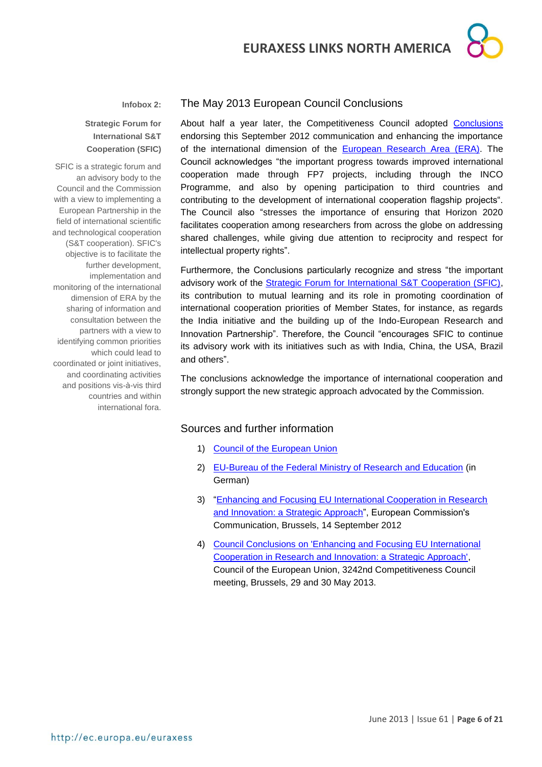

#### **Infobox 2:**

#### **Strategic Forum for International S&T Cooperation (SFIC)**

SFIC is a strategic forum and an advisory body to the Council and the Commission with a view to implementing a European Partnership in the field of international scientific and technological cooperation (S&T cooperation). SFIC's objective is to facilitate the further development, implementation and monitoring of the international dimension of ERA by the sharing of information and consultation between the partners with a view to identifying common priorities which could lead to coordinated or joint initiatives, and coordinating activities and positions vis-à-vis third countries and within international fora.

#### The May 2013 European Council Conclusions

About half a year later, the Competitiveness Council adopted [Conclusions](http://www.consilium.europa.eu/uedocs/cms_data/docs/pressdata/en/intm/137346.pdf) endorsing this September 2012 communication and enhancing the importance of the international dimension of the [European Research Area \(ERA\).](http://ec.europa.eu/research/era/index_en.htm) The Council acknowledges "the important progress towards improved international cooperation made through FP7 projects, including through the INCO Programme, and also by opening participation to third countries and contributing to the development of international cooperation flagship projects". The Council also "stresses the importance of ensuring that Horizon 2020 facilitates cooperation among researchers from across the globe on addressing shared challenges, while giving due attention to reciprocity and respect for intellectual property rights".

Furthermore, the Conclusions particularly recognize and stress "the important advisory work of the **Strategic Forum for International S&T Cooperation (SFIC)**, its contribution to mutual learning and its role in promoting coordination of international cooperation priorities of Member States, for instance, as regards the India initiative and the building up of the Indo-European Research and Innovation Partnership". Therefore, the Council "encourages SFIC to continue its advisory work with its initiatives such as with India, China, the USA, Brazil and others".

The conclusions acknowledge the importance of international cooperation and strongly support the new strategic approach advocated by the Commission.

#### Sources and further information

- 1) [Council of the European Union](http://www.consilium.europa.eu/council?lang=en)
- 2) [EU-Bureau of the Federal Ministry of Research and Education](http://www.eubuero.de/era-sfic.htm) (in German)
- 3) ["Enhancing and Focusing EU International Cooperation in Research](http://ec.europa.eu/research/iscp/pdf/com_2012_497_communication_from_commission_to_inst_en.pdf)  [and Innovation: a Strategic Approach"](http://ec.europa.eu/research/iscp/pdf/com_2012_497_communication_from_commission_to_inst_en.pdf), European Commission's Communication, Brussels, 14 September 2012
- 4) [Council Conclusions on 'Enhancing and Focusing EU International](http://www.consilium.europa.eu/uedocs/cms_data/docs/pressdata/en/intm/137346.pdf)  [Cooperation in Research and Innovation: a Strategic Approach',](http://www.consilium.europa.eu/uedocs/cms_data/docs/pressdata/en/intm/137346.pdf) Council of the European Union, 3242nd Competitiveness Council meeting, Brussels, 29 and 30 May 2013.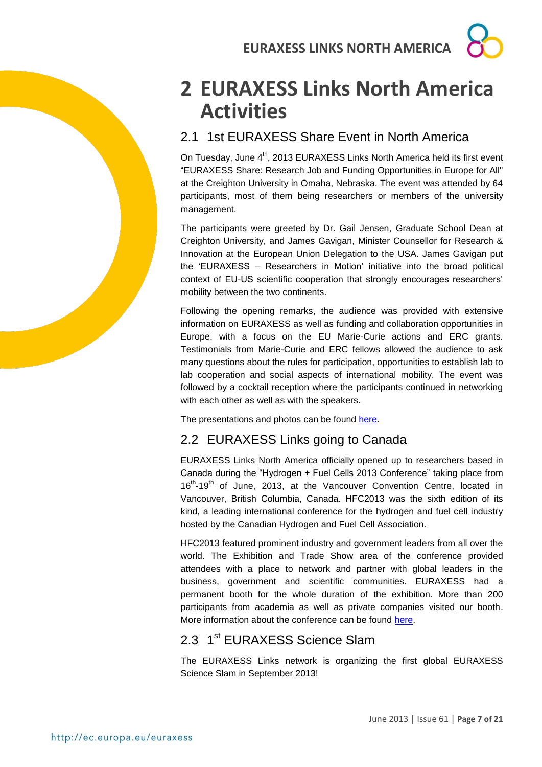## <span id="page-6-0"></span>**2 EURAXESS Links North America Activities**

## <span id="page-6-1"></span>2.1 1st EURAXESS Share Event in North America

On Tuesday, June 4<sup>th</sup>, 2013 EURAXESS Links North America held its first event "EURAXESS Share: Research Job and Funding Opportunities in Europe for All" at the Creighton University in Omaha, Nebraska. The event was attended by 64 participants, most of them being researchers or members of the university management.

The participants were greeted by Dr. Gail Jensen, Graduate School Dean at Creighton University, and James Gavigan, Minister Counsellor for Research & Innovation at the European Union Delegation to the USA. James Gavigan put the 'EURAXESS – Researchers in Motion' initiative into the broad political context of EU-US scientific cooperation that strongly encourages researchers' mobility between the two continents.

Following the opening remarks, the audience was provided with extensive information on EURAXESS as well as funding and collaboration opportunities in Europe, with a focus on the EU Marie-Curie actions and ERC grants. Testimonials from Marie-Curie and ERC fellows allowed the audience to ask many questions about the rules for participation, opportunities to establish lab to lab cooperation and social aspects of international mobility. The event was followed by a cocktail reception where the participants continued in networking with each other as well as with the speakers.

The presentations and photos can be found [here.](http://ec.europa.eu/euraxess/links/usa/share_events_en.htm)

## <span id="page-6-2"></span>2.2 EURAXESS Links going to Canada

EURAXESS Links North America officially opened up to researchers based in Canada during the "Hydrogen + Fuel Cells 2013 Conference" taking place from 16<sup>th</sup>-19<sup>th</sup> of June, 2013, at the Vancouver Convention Centre, located in Vancouver, British Columbia, Canada. HFC2013 was the sixth edition of its kind, a leading international conference for the hydrogen and fuel cell industry hosted by the Canadian Hydrogen and Fuel Cell Association.

HFC2013 featured prominent industry and government leaders from all over the world. The Exhibition and Trade Show area of the conference provided attendees with a place to network and partner with global leaders in the business, government and scientific communities. EURAXESS had a permanent booth for the whole duration of the exhibition. More than 200 participants from academia as well as private companies visited our booth. More information about the conference can be found [here.](http://www.hfc2013.com/)

## <span id="page-6-3"></span>2.3 1<sup>st</sup> EURAXESS Science Slam

The EURAXESS Links network is organizing the first global EURAXESS Science Slam in September 2013!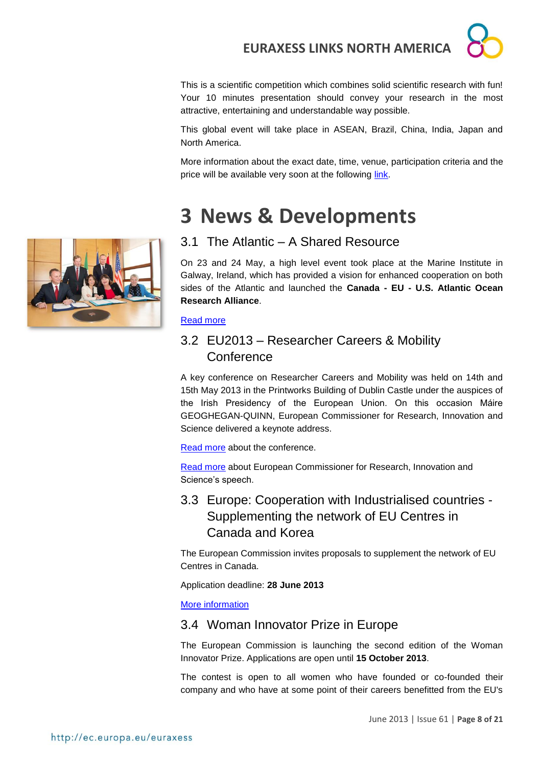This is a scientific competition which combines solid scientific research with fun! Your 10 minutes presentation should convey your research in the most attractive, entertaining and understandable way possible.

This global event will take place in ASEAN, Brazil, China, India, Japan and North America.

More information about the exact date, time, venue, participation criteria and the price will be available very soon at the following [link.](http://ec.europa.eu/euraxess/links/usa/events_en.htm)

## <span id="page-7-0"></span>**3 News & Developments**



### <span id="page-7-1"></span>3.1 The Atlantic – A Shared Resource

On 23 and 24 May, a high level event took place at the Marine Institute in Galway, Ireland, which has provided a vision for enhanced cooperation on both sides of the Atlantic and launched the **Canada - EU - U.S. Atlantic Ocean Research Alliance**.

#### [Read more](http://www.marine.ie/home/community/events/pastevents/The+Atlantic+-+A+Shared+Resource+Event.htm)

## <span id="page-7-2"></span>3.2 EU2013 – Researcher Careers & Mobility **Conference**

A key conference on Researcher Careers and Mobility was held on 14th and 15th May 2013 in the Printworks Building of Dublin Castle under the auspices of the Irish Presidency of the European Union. On this occasion Máire GEOGHEGAN-QUINN, European Commissioner for Research, Innovation and Science delivered a keynote address.

[Read more](http://www.iua.ie/research-innovation/rcm/) about the conference.

[Read more](http://europa.eu/rapid/press-release_SPEECH-13-407_en.htm) about European Commissioner for Research, Innovation and Science's speech.

## <span id="page-7-3"></span>3.3 Europe: Cooperation with Industrialised countries - Supplementing the network of EU Centres in Canada and Korea

The European Commission invites proposals to supplement the network of EU Centres in Canada.

Application deadline: **28 June 2013**

[More information](http://eeas.europa.eu/canada/grants/2013/index_en.htm)

### <span id="page-7-4"></span>3.4 Woman Innovator Prize in Europe

The European Commission is launching the second edition of the Woman Innovator Prize. Applications are open until **15 October 2013**.

The contest is open to all women who have founded or co-founded their company and who have at some point of their careers benefitted from the EU's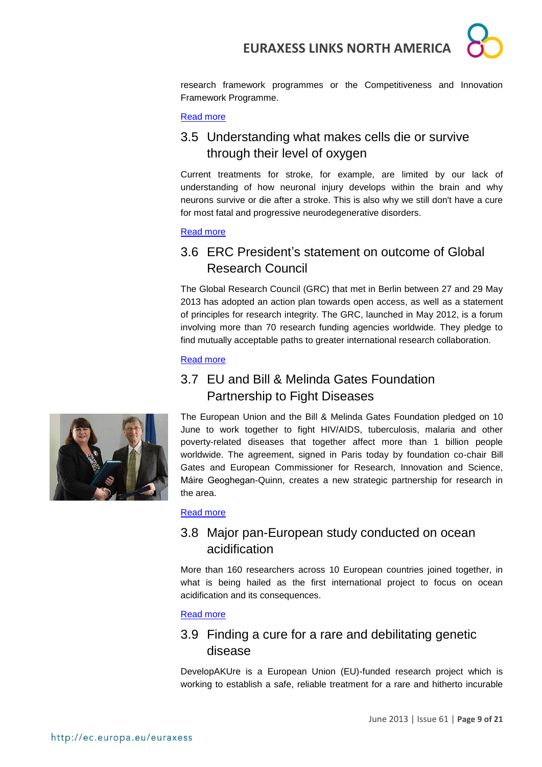

research framework programmes or the Competitiveness and Innovation Framework Programme.

#### [Read more](http://ec.europa.eu/research/innovation-union/index_en.cfm?section=women-innovators&pg=home)

## <span id="page-8-0"></span>3.5 Understanding what makes cells die or survive through their level of oxygen

Current treatments for stroke, for example, are limited by our lack of understanding of how neuronal injury develops within the brain and why neurons survive or die after a stroke. This is also why we still don't have a cure for most fatal and progressive neurodegenerative disorders.

#### [Read more](http://ec.europa.eu/research/mariecurieactions/news-events/news/2013/understanding_what_makes_cells_die_or_survive_through_their_level_of_oxygen_en.htm)

## <span id="page-8-1"></span>3.6 ERC President's statement on outcome of Global Research Council

The Global Research Council (GRC) that met in Berlin between 27 and 29 May 2013 has adopted an action plan towards open access, as well as a statement of principles for research integrity. The GRC, launched in May 2012, is a forum involving more than 70 research funding agencies worldwide. They pledge to find mutually acceptable paths to greater international research collaboration.

#### [Read more](http://erc.europa.eu/sites/default/files/document/file/ERC_Highlight_Statement_ERC_President_on_GRC.PDF)

## <span id="page-8-2"></span>3.7 EU and Bill & Melinda Gates Foundation Partnership to Fight Diseases



The European Union and the Bill & Melinda Gates Foundation pledged on 10 June to work together to fight HIV/AIDS, tuberculosis, malaria and other poverty-related diseases that together affect more than 1 billion people worldwide. The agreement, signed in Paris today by foundation co-chair Bill Gates and European Commissioner for Research, Innovation and Science, Máire Geoghegan-Quinn, creates a new strategic partnership for research in the area.

#### [Read more](http://europa.eu/rapid/press-release_IP-13-517_en.htm)

### <span id="page-8-3"></span>3.8 Major pan-European study conducted on ocean acidification

More than 160 researchers across 10 European countries joined together, in what is being hailed as the first international project to focus on ocean acidification and its consequences.

#### [Read more](http://ec.europa.eu/research/infocentre/article_en.cfm?id=/research/headlines/news/article_13_06_07_en.html&item=All&artid=30293&caller=AllHeadlines)

### <span id="page-8-4"></span>3.9 Finding a cure for a rare and debilitating genetic disease

DevelopAKUre is a European Union (EU)-funded research project which is working to establish a safe, reliable treatment for a rare and hitherto incurable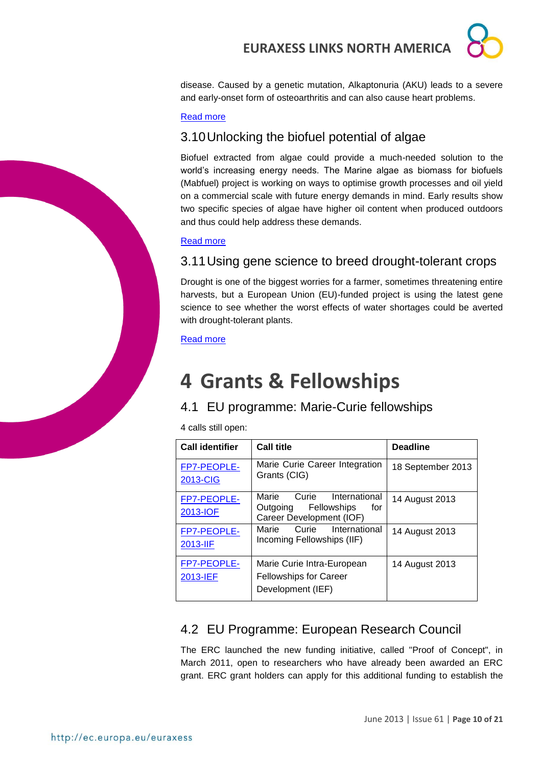

disease. Caused by a genetic mutation, Alkaptonuria (AKU) leads to a severe and early-onset form of osteoarthritis and can also cause heart problems.

#### [Read more](http://ec.europa.eu/research/infocentre/article_en.cfm?id=/research/headlines/news/article_13_06_04_en.html&item=All&artid=30253&caller=AllHeadlines)

## <span id="page-9-0"></span>3.10Unlocking the biofuel potential of algae

Biofuel extracted from algae could provide a much-needed solution to the world's increasing energy needs. The Marine algae as biomass for biofuels (Mabfuel) project is working on ways to optimise growth processes and oil yield on a commercial scale with future energy demands in mind. Early results show two specific species of algae have higher oil content when produced outdoors and thus could help address these demands.

#### [Read more](http://ec.europa.eu/research/infocentre/article_en.cfm?id=/research/headlines/news/article_13_05_31_en.html&item=All&artid=30213&caller=AllHeadlines)

## <span id="page-9-1"></span>3.11Using gene science to breed drought-tolerant crops

Drought is one of the biggest worries for a farmer, sometimes threatening entire harvests, but a European Union (EU)-funded project is using the latest gene science to see whether the worst effects of water shortages could be averted with drought-tolerant plants.

#### [Read more](http://ec.europa.eu/research/infocentre/article_en.cfm?id=/research/headlines/news/article_13_05_28_en.html&item=All&artid=30153&caller=AllHeadlines)

## <span id="page-9-2"></span>**4 Grants & Fellowships**

### <span id="page-9-3"></span>4.1 EU programme: Marie-Curie fellowships

4 calls still open:

| <b>Call identifier</b>  | <b>Call title</b>                                                                             | <b>Deadline</b>   |  |
|-------------------------|-----------------------------------------------------------------------------------------------|-------------------|--|
| FP7-PEOPLE-<br>2013-CIG | Marie Curie Career Integration<br>Grants (CIG)                                                | 18 September 2013 |  |
| FP7-PEOPLE-<br>2013-IOF | Marie<br>Curie<br>International<br>Outgoing<br>Fellowships<br>for<br>Career Development (IOF) | 14 August 2013    |  |
| FP7-PEOPLE-<br>2013-IIF | Marie<br>International<br>Curie<br>Incoming Fellowships (IIF)                                 | 14 August 2013    |  |
| FP7-PEOPLE-<br>2013-IEF | Marie Curie Intra-European<br><b>Fellowships for Career</b><br>Development (IEF)              | 14 August 2013    |  |

## <span id="page-9-4"></span>4.2 EU Programme: European Research Council

The ERC launched the new funding initiative, called "Proof of Concept", in March 2011, open to researchers who have already been awarded an ERC grant. ERC grant holders can apply for this additional funding to establish the

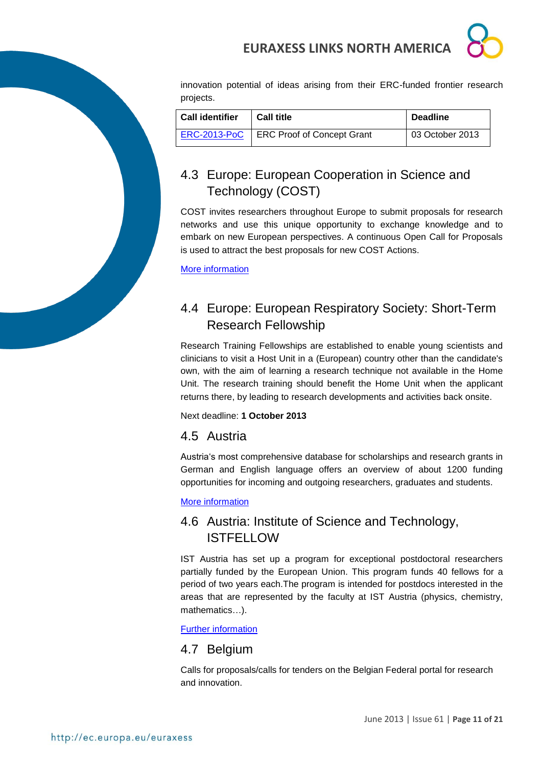

innovation potential of ideas arising from their ERC-funded frontier research projects.

| <b>Call identifier</b> | <b>Call title</b>                 | <b>Deadline</b> |
|------------------------|-----------------------------------|-----------------|
| <b>ERC-2013-PoC</b>    | <b>ERC Proof of Concept Grant</b> | 03 October 2013 |

## <span id="page-10-0"></span>4.3 Europe: European Cooperation in Science and Technology (COST)

COST invites researchers throughout Europe to submit proposals for research networks and use this unique opportunity to exchange knowledge and to embark on new European perspectives. A continuous Open Call for Proposals is used to attract the best proposals for new COST Actions.

[More information](http://www.cost.eu/participate/open_call)

## <span id="page-10-1"></span>4.4 Europe: European Respiratory Society: Short-Term Research Fellowship

Research Training Fellowships are established to enable young scientists and clinicians to visit a Host Unit in a (European) country other than the candidate's own, with the aim of learning a research technique not available in the Home Unit. The research training should benefit the Home Unit when the applicant returns there, by leading to research developments and activities back onsite.

Next deadline: **1 October 2013**

## <span id="page-10-2"></span>4.5 Austria

Austria's most comprehensive database for scholarships and research grants in German and English language offers an overview of about 1200 funding opportunities for incoming and outgoing researchers, graduates and students.

### [More information](http://www.grants.at/)

## <span id="page-10-3"></span>4.6 Austria: Institute of Science and Technology, ISTFELLOW

IST Austria has set up a program for exceptional postdoctoral researchers partially funded by the European Union. This program funds 40 fellows for a period of two years each.The program is intended for postdocs interested in the areas that are represented by the faculty at IST Austria (physics, chemistry, mathematics…).

[Further information](http://ist.ac.at/research/postdoctoral-research/istfellow/)

### <span id="page-10-4"></span>4.7 Belgium

Calls for proposals/calls for tenders on the Belgian Federal portal for research and innovation.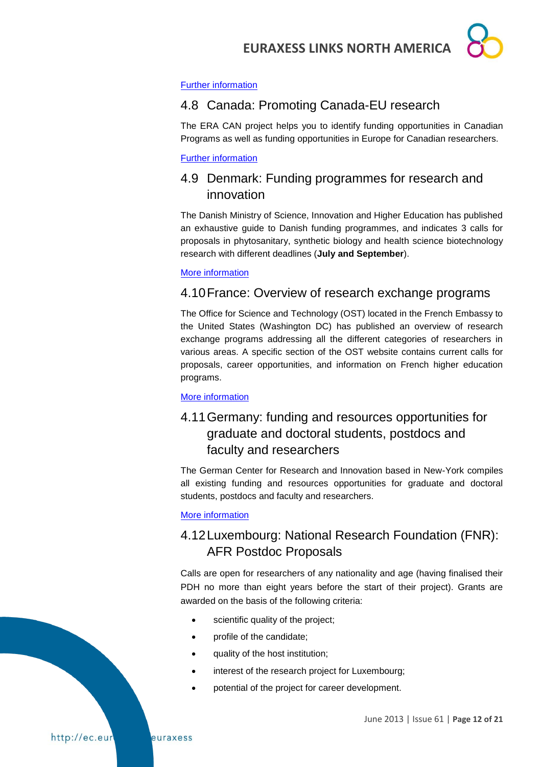

#### [Further information](http://www.research.be/ListURL/list.asp?KeyId=623&up=619)

### <span id="page-11-0"></span>4.8 Canada: Promoting Canada-EU research

The ERA CAN project helps you to identify funding opportunities in Canadian Programs as well as funding opportunities in Europe for Canadian researchers.

[Further information](http://www.era-can.ca/en/Opportunities_In_Canadian_Programs_22/Opportunities_In_Canadian_Programs_10)

## <span id="page-11-1"></span>4.9 Denmark: Funding programmes for research and innovation

The Danish Ministry of Science, Innovation and Higher Education has published an exhaustive guide to Danish funding programmes, and indicates 3 calls for proposals in phytosanitary, synthetic biology and health science biotechnology research with different deadlines (**July and September**).

#### [More information](http://fivu.dk/en/research-and-innovation/funding-programmes-for-research-and-innovation/guide-to-funding)

### <span id="page-11-2"></span>4.10France: Overview of research exchange programs

The Office for Science and Technology (OST) located in the French Embassy to the United States (Washington DC) has published an overview of research exchange programs addressing all the different categories of researchers in various areas. A specific section of the OST website contains current calls for proposals, career opportunities, and information on French higher education programs.

[More information](http://france-science.org/USA-France-Mobility-Schemes.html)

## <span id="page-11-3"></span>4.11Germany: funding and resources opportunities for graduate and doctoral students, postdocs and faculty and researchers

The German Center for Research and Innovation based in New-York compiles all existing funding and resources opportunities for graduate and doctoral students, postdocs and faculty and researchers.

#### [More information](http://www.germaninnovation.org/resources/faculty-and-researchers)

## <span id="page-11-4"></span>4.12Luxembourg: National Research Foundation (FNR): AFR Postdoc Proposals

Calls are open for researchers of any nationality and age (having finalised their PDH no more than eight years before the start of their project). Grants are awarded on the basis of the following criteria:

- scientific quality of the project;
- profile of the candidate;
- quality of the host institution;
- interest of the research project for Luxembourg;
- potential of the project for career development.

June 2013 | Issue 61 | **Page 12 of 21**

http://ec.eur

euraxess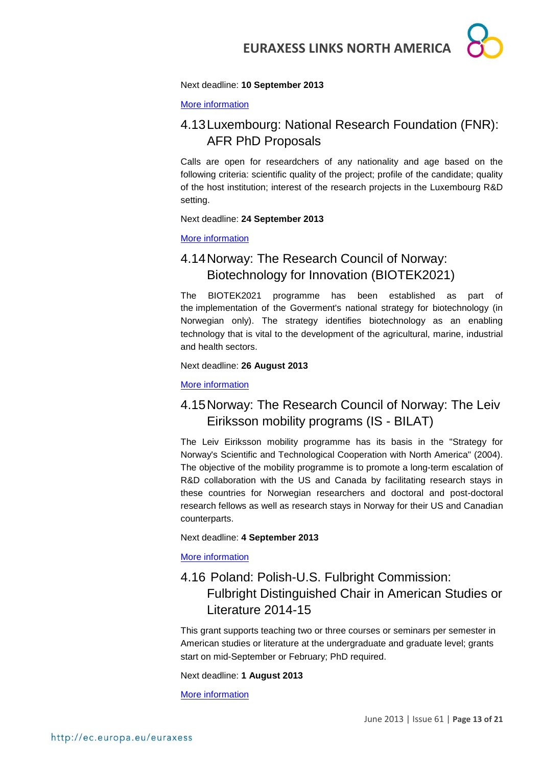#### Next deadline: **10 September 2013**

[More information](http://www.fnr.lu/en/Calls%2C-Forms-Guidelines/Call-Documents/AFR-PDR-Forms-and-Guidelines)

### <span id="page-12-0"></span>4.13Luxembourg: National Research Foundation (FNR): AFR PhD Proposals

Calls are open for researdchers of any nationality and age based on the following criteria: scientific quality of the project; profile of the candidate; quality of the host institution; interest of the research projects in the Luxembourg R&D setting.

#### Next deadline: **24 September 2013**

#### [More information](http://www.fnr.lu/en/AFR-PhD-Postdoc-Grants/PhD-Grants)

## <span id="page-12-1"></span>4.14Norway: The Research Council of Norway: Biotechnology for Innovation (BIOTEK2021)

The BIOTEK2021 programme has been established as part of the implementation of the Goverment's national strategy for biotechnology (in Norwegian only). The strategy identifies biotechnology as an enabling technology that is vital to the development of the agricultural, marine, industrial and health sectors.

#### Next deadline: **26 August 2013**

[More information](http://www.forskningsradet.no/en/Funding/BIOTEK2021/1253973230625/p1184150364108?visAktive=true)

## <span id="page-12-2"></span>4.15Norway: The Research Council of Norway: The Leiv Eiriksson mobility programs (IS - BILAT)

The Leiv Eiriksson mobility programme has its basis in the "Strategy for Norway's Scientific and Technological Cooperation with North America" (2004). The objective of the mobility programme is to promote a long-term escalation of R&D collaboration with the US and Canada by facilitating research stays in these countries for Norwegian researchers and doctoral and post-doctoral research fellows as well as research stays in Norway for their US and Canadian counterparts.

#### Next deadline: **4 September 2013**

[More information](http://www.forskningsradet.no/en/Funding/ISBILAT/1244734017095?visAktive=true)

## <span id="page-12-3"></span>4.16 Poland: Polish-U.S. Fulbright Commission: Fulbright Distinguished Chair in American Studies or Literature 2014-15

This grant supports teaching two or three courses or seminars per semester in American studies or literature at the undergraduate and graduate level; grants start on mid-September or February; PhD required.

Next deadline: **1 August 2013**

[More information](http://catalog.cies.org/viewAward.aspx?n=4297&dc=PL)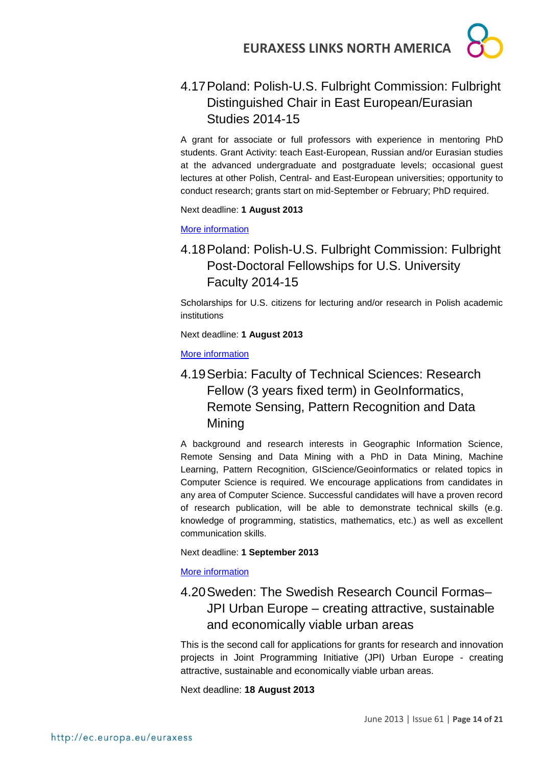

## <span id="page-13-0"></span>4.17Poland: Polish-U.S. Fulbright Commission: Fulbright Distinguished Chair in East European/Eurasian Studies 2014-15

A grant for associate or full professors with experience in mentoring PhD students. Grant Activity: teach East-European, Russian and/or Eurasian studies at the advanced undergraduate and postgraduate levels; occasional guest lectures at other Polish, Central- and East-European universities; opportunity to conduct research; grants start on mid-September or February; PhD required.

Next deadline: **1 August 2013**

[More information](http://catalog.cies.org/viewAward.aspx?n=4298&dc=PL)

## <span id="page-13-1"></span>4.18Poland: Polish-U.S. Fulbright Commission: Fulbright Post-Doctoral Fellowships for U.S. University Faculty 2014-15

Scholarships for U.S. citizens for lecturing and/or research in Polish academic institutions

Next deadline: **1 August 2013**

[More information](http://catalog.cies.org/viewAward.aspx?n=4294&dc=PL)

## <span id="page-13-2"></span>4.19Serbia: Faculty of Technical Sciences: Research Fellow (3 years fixed term) in GeoInformatics, Remote Sensing, Pattern Recognition and Data Mining

A background and research interests in Geographic Information Science, Remote Sensing and Data Mining with a PhD in Data Mining, Machine Learning, Pattern Recognition, GIScience/Geoinformatics or related topics in Computer Science is required. We encourage applications from candidates in any area of Computer Science. Successful candidates will have a proven record of research publication, will be able to demonstrate technical skills (e.g. knowledge of programming, statistics, mathematics, etc.) as well as excellent communication skills.

Next deadline: **1 September 2013**

[More information](http://ec.europa.eu/euraxess/index.cfm/jobs/jobDetails/33865318)

## <span id="page-13-3"></span>4.20Sweden: The Swedish Research Council Formas– JPI Urban Europe – creating attractive, sustainable and economically viable urban areas

This is the second call for applications for grants for research and innovation projects in Joint Programming Initiative (JPI) Urban Europe - creating attractive, sustainable and economically viable urban areas.

Next deadline: **18 August 2013**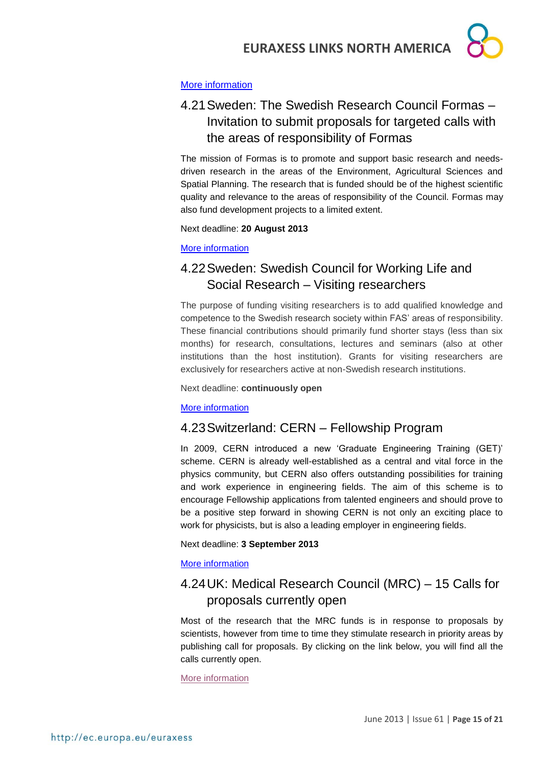

#### [More information](http://www.formas.se/en/Financing/Calls-For-Proposals/JPI-Urban-Europe--creating-attractive-sustainable-and-economically-viable-urban-areas/)

## <span id="page-14-0"></span>4.21Sweden: The Swedish Research Council Formas – Invitation to submit proposals for targeted calls with the areas of responsibility of Formas

The mission of Formas is to promote and support basic research and needsdriven research in the areas of the Environment, Agricultural Sciences and Spatial Planning. The research that is funded should be of the highest scientific quality and relevance to the areas of responsibility of the Council. Formas may also fund development projects to a limited extent.

Next deadline: **20 August 2013**

#### [More information](http://www.formas.se/en/Financing/Calls-For-Proposals/Invitation-to-submit-proposals-for-targeted-calls-with-the-areas-of-responsibility-of-Formas/)

## <span id="page-14-1"></span>4.22Sweden: Swedish Council for Working Life and Social Research – Visiting researchers

The purpose of funding visiting researchers is to add qualified knowledge and competence to the Swedish research society within FAS' areas of responsibility. These financial contributions should primarily fund shorter stays (less than six months) for research, consultations, lectures and seminars (also at other institutions than the host institution). Grants for visiting researchers are exclusively for researchers active at non-Swedish research institutions.

#### Next deadline: **continuously open**

#### [More information](http://www.fas.se/en/Calls-for-proposals/Open-calls/Visiting-researchers/)

### <span id="page-14-2"></span>4.23Switzerland: CERN – Fellowship Program

In 2009, CERN introduced a new 'Graduate Engineering Training (GET)' scheme. CERN is already well-established as a central and vital force in the physics community, but CERN also offers outstanding possibilities for training and work experience in engineering fields. The aim of this scheme is to encourage Fellowship applications from talented engineers and should prove to be a positive step forward in showing CERN is not only an exciting place to work for physicists, but is also a leading employer in engineering fields.

#### Next deadline: **3 September 2013**

#### [More information](http://jobs.web.cern.ch/join-us/fellowship-programme)

## <span id="page-14-3"></span>4.24UK: Medical Research Council (MRC) – 15 Calls for proposals currently open

Most of the research that the MRC funds is in response to proposals by scientists, however from time to time they stimulate research in priority areas by publishing call for proposals. By clicking on the link below, you will find all the calls currently open.

[More information](http://www.mrc.ac.uk/Fundingopportunities/Calls/index.htm)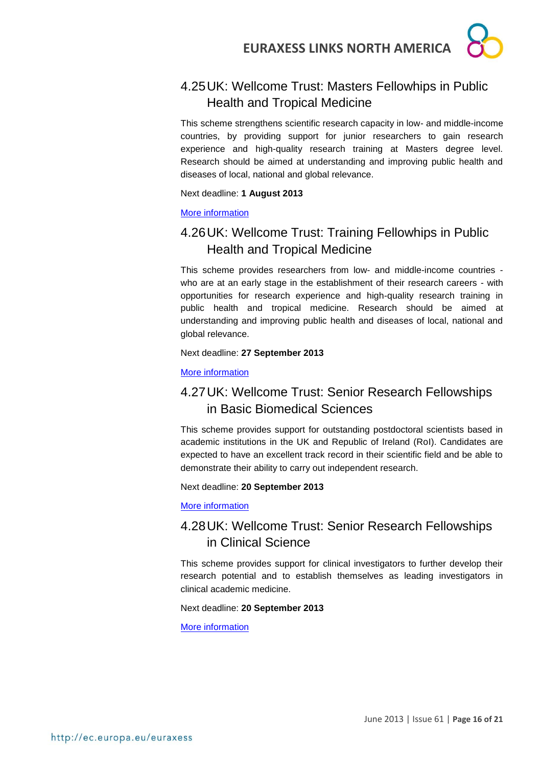## <span id="page-15-0"></span>4.25UK: Wellcome Trust: Masters Fellowhips in Public Health and Tropical Medicine

This scheme strengthens scientific research capacity in low- and middle-income countries, by providing support for junior researchers to gain research experience and high-quality research training at Masters degree level. Research should be aimed at understanding and improving public health and diseases of local, national and global relevance.

Next deadline: **1 August 2013**

#### [More information](http://www.wellcome.ac.uk/Funding/Biomedical-science/Funding-schemes/Fellowships/Public-health-and-tropical-medicine/WTD025881.htm)

## <span id="page-15-1"></span>4.26UK: Wellcome Trust: Training Fellowhips in Public Health and Tropical Medicine

This scheme provides researchers from low- and middle-income countries who are at an early stage in the establishment of their research careers - with opportunities for research experience and high-quality research training in public health and tropical medicine. Research should be aimed at understanding and improving public health and diseases of local, national and global relevance.

Next deadline: **27 September 2013**

#### [More information](http://www.wellcome.ac.uk/Funding/Biomedical-science/Funding-schemes/Fellowships/Public-health-and-tropical-medicine/WTD025882.htm)

## <span id="page-15-2"></span>4.27UK: Wellcome Trust: Senior Research Fellowships in Basic Biomedical Sciences

This scheme provides support for outstanding postdoctoral scientists based in academic institutions in the UK and Republic of Ireland (RoI). Candidates are expected to have an excellent track record in their scientific field and be able to demonstrate their ability to carry out independent research.

Next deadline: **20 September 2013**

[More information](http://www.wellcome.ac.uk/Funding/Biomedical-science/Funding-schemes/Fellowships/Basic-biomedical-fellowships/WTD004442.htm)

## <span id="page-15-3"></span>4.28UK: Wellcome Trust: Senior Research Fellowships in Clinical Science

This scheme provides support for clinical investigators to further develop their research potential and to establish themselves as leading investigators in clinical academic medicine.

#### Next deadline: **20 September 2013**

[More information](http://www.wellcome.ac.uk/Funding/Biomedical-science/Funding-schemes/Fellowships/Clinical-fellowships/WTD004445.htm)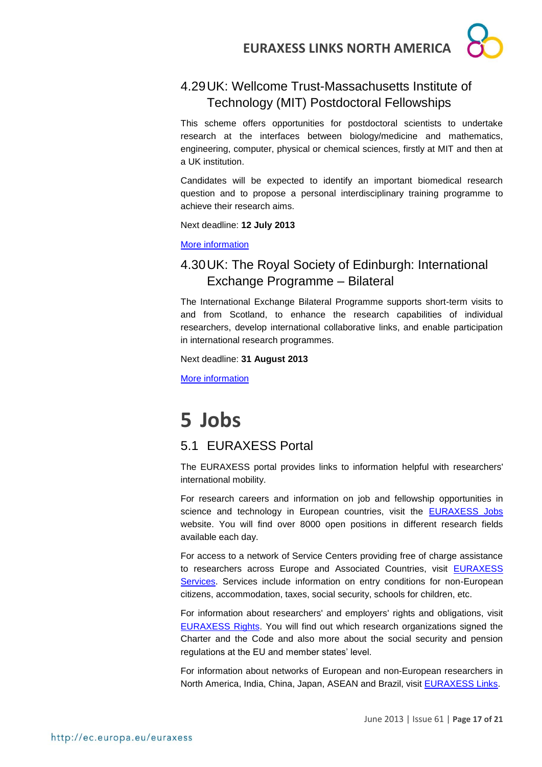## <span id="page-16-0"></span>4.29UK: Wellcome Trust-Massachusetts Institute of Technology (MIT) Postdoctoral Fellowships

This scheme offers opportunities for postdoctoral scientists to undertake research at the interfaces between biology/medicine and mathematics, engineering, computer, physical or chemical sciences, firstly at MIT and then at a UK institution.

Candidates will be expected to identify an important biomedical research question and to propose a personal interdisciplinary training programme to achieve their research aims.

Next deadline: **12 July 2013**

[More information](http://www.wellcome.ac.uk/Funding/Biomedical-science/Funding-schemes/Fellowships/International-fellowships/WTX054661.htm)

## <span id="page-16-1"></span>4.30UK: The Royal Society of Edinburgh: International Exchange Programme – Bilateral

The International Exchange Bilateral Programme supports short-term visits to and from Scotland, to enhance the research capabilities of individual researchers, develop international collaborative links, and enable participation in international research programmes.

Next deadline: **31 August 2013**

[More information](http://www.rse.org.uk/802_InternationalExchangeProgrammeBilateral.html)

## <span id="page-16-2"></span>**5 Jobs**

### <span id="page-16-3"></span>5.1 EURAXESS Portal

The EURAXESS portal provides links to information helpful with researchers' international mobility.

For research careers and information on job and fellowship opportunities in science and technology in European countries, visit the **[EURAXESS Jobs](http://ec.europa.eu/euraxess/index.cfm/jobs/index)** website. You will find over 8000 open positions in different research fields available each day.

For access to a network of Service Centers providing free of charge assistance to researchers across Europe and Associated Countries, visit [EURAXESS](http://ec.europa.eu/euraxess/index.cfm/services/index)  [Services.](http://ec.europa.eu/euraxess/index.cfm/services/index) Services include information on entry conditions for non-European citizens, accommodation, taxes, social security, schools for children, etc.

For information about researchers' and employers' rights and obligations, visit [EURAXESS Rights.](http://ec.europa.eu/euraxess/index.cfm/rights/index) You will find out which research organizations signed the Charter and the Code and also more about the social security and pension regulations at the EU and member states' level.

For information about networks of European and non-European researchers in North America, India, China, Japan, ASEAN and Brazil, visit [EURAXESS Links.](http://ec.europa.eu/euraxess/links/index_en.htm?CFID=17815770&CFTOKEN=d59d08961703c79e-5B92759F-FF1C-4F0D-76FA3FC1BA838403&jsessionid=b102b9c093c747a83341697b6f147b5f4735TR)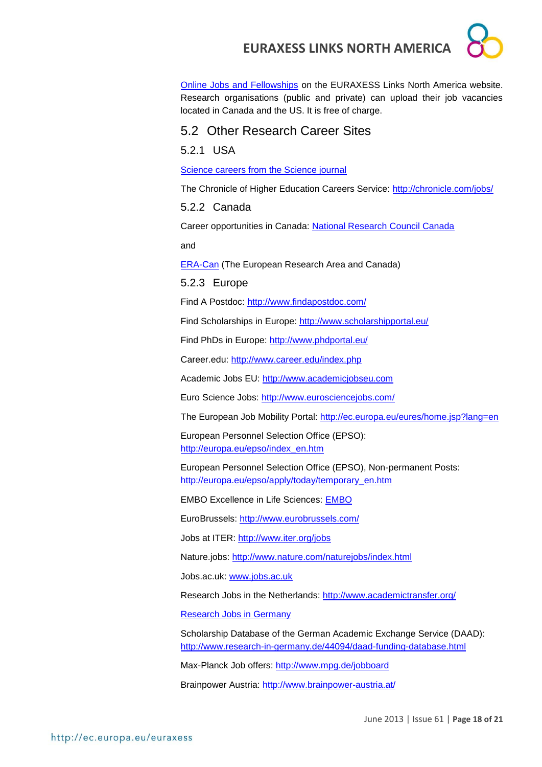[Online Jobs and Fellowships](http://ec.europa.eu/euraxess/links/usa/index_en.htm) on the EURAXESS Links North America website. Research organisations (public and private) can upload their job vacancies located in Canada and the US. It is free of charge.

### <span id="page-17-0"></span>5.2 Other Research Career Sites

<span id="page-17-1"></span>5.2.1 USA

[Science careers from the Science journal](http://sciencecareers.sciencemag.org/)

The Chronicle of Higher Education Careers Service:<http://chronicle.com/jobs/>

<span id="page-17-2"></span>5.2.2 Canada

Career opportunities in Canada: [National Research Council Canada](http://www.nrc-cnrc.gc.ca/eng/careers/index.html)

and

[ERA-Can](http://www.era-can.ca/en/Opportunities_In_Canadian_Programs_22/Opportunities_In_Canadian_Programs_10) (The European Research Area and Canada)

<span id="page-17-3"></span>5.2.3 Europe

Find A Postdoc:<http://www.findapostdoc.com/>

Find Scholarships in Europe:<http://www.scholarshipportal.eu/>

Find PhDs in Europe:<http://www.phdportal.eu/>

Career.edu:<http://www.career.edu/index.php>

Academic Jobs EU: [http://www.academicjobseu.com](http://www.academicjobseu.com/)

Euro Science Jobs:<http://www.eurosciencejobs.com/>

The European Job Mobility Portal:<http://ec.europa.eu/eures/home.jsp?lang=en>

European Personnel Selection Office (EPSO): [http://europa.eu/epso/index\\_en.htm](http://europa.eu/epso/index_en.htm)

European Personnel Selection Office (EPSO), Non-permanent Posts: [http://europa.eu/epso/apply/today/temporary\\_en.htm](http://europa.eu/epso/apply/today/temporary_en.htm)

EMBO Excellence in Life Sciences: [EMBO](http://www.embo.org/)

EuroBrussels:<http://www.eurobrussels.com/>

Jobs at ITER:<http://www.iter.org/jobs>

Nature.jobs:<http://www.nature.com/naturejobs/index.html>

Jobs.ac.uk: [www.jobs.ac.uk](http://www.jobs.ac.uk/)

Research Jobs in the Netherlands:<http://www.academictransfer.org/>

[Research Jobs in Germany](http://www.germaninnovation.org/resources/faculty-and-researchers)

Scholarship Database of the German Academic Exchange Service (DAAD): <http://www.research-in-germany.de/44094/daad-funding-database.html>

Max-Planck Job offers:<http://www.mpg.de/jobboard>

Brainpower Austria:<http://www.brainpower-austria.at/>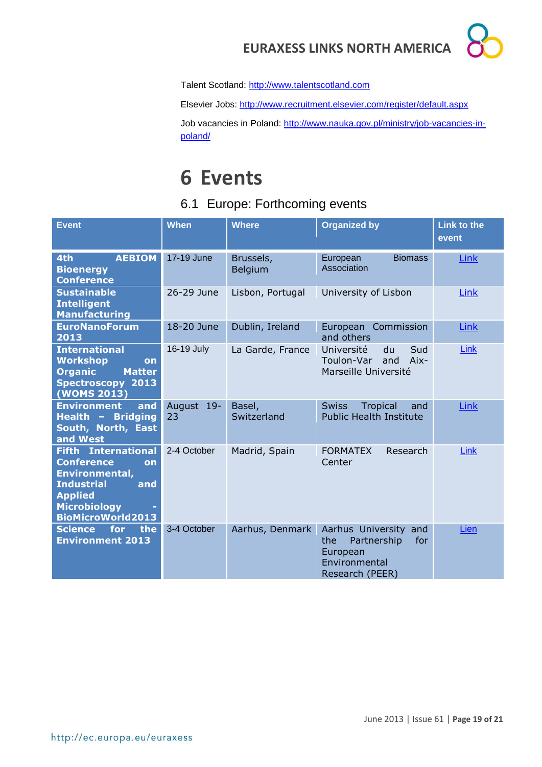

Talent Scotland: [http://www.talentscotland.com](http://www.talentscotland.com/)

Elsevier Jobs:<http://www.recruitment.elsevier.com/register/default.aspx>

Job vacancies in Poland: [http://www.nauka.gov.pl/ministry/job-vacancies-in](http://www.nauka.gov.pl/ministry/job-vacancies-in-poland/)[poland/](http://www.nauka.gov.pl/ministry/job-vacancies-in-poland/)

## <span id="page-18-0"></span>**6 Events**

## <span id="page-18-1"></span>6.1 Europe: Forthcoming events

| <b>Event</b>                                                                                                                                                             | <b>When</b>      | <b>Where</b>          | <b>Organized by</b>                                                                                   | <b>Link to the</b><br>event |
|--------------------------------------------------------------------------------------------------------------------------------------------------------------------------|------------------|-----------------------|-------------------------------------------------------------------------------------------------------|-----------------------------|
| <b>AEBIOM</b><br>4th<br><b>Bioenergy</b><br><b>Conference</b>                                                                                                            | 17-19 June       | Brussels,<br>Belgium  | <b>Biomass</b><br>European<br>Association                                                             | Link                        |
| <b>Sustainable</b><br><b>Intelligent</b><br><b>Manufacturing</b>                                                                                                         | 26-29 June       | Lisbon, Portugal      | University of Lisbon                                                                                  | Link                        |
| <b>EuroNanoForum</b><br>2013                                                                                                                                             | 18-20 June       | Dublin, Ireland       | European Commission<br>and others                                                                     | Link                        |
| <b>International</b><br><b>Workshop</b><br><b>on</b><br><b>Organic</b><br><b>Matter</b><br><b>Spectroscopy 2013</b><br>(WOMS 2013)                                       | 16-19 July       | La Garde, France      | Sud<br>Université<br>du<br>Toulon-Var<br>and<br>Aix-<br>Marseille Université                          | Link                        |
| and<br><b>Environment</b><br>Health - Bridging<br>South, North, East<br>and West                                                                                         | August 19-<br>23 | Basel,<br>Switzerland | <b>Swiss</b><br>Tropical<br>and<br><b>Public Health Institute</b>                                     | Link                        |
| <b>Fifth International</b><br><b>Conference</b><br>on<br>Environmental,<br><b>Industrial</b><br>and<br><b>Applied</b><br><b>Microbiology</b><br><b>BioMicroWorld2013</b> | 2-4 October      | Madrid, Spain         | <b>FORMATEX</b><br>Research<br>Center                                                                 | <b>Link</b>                 |
| the<br><b>Science</b><br>for<br><b>Environment 2013</b>                                                                                                                  | 3-4 October      | Aarhus, Denmark       | Aarhus University<br>and<br>Partnership<br>for<br>the<br>European<br>Environmental<br>Research (PEER) | Lien                        |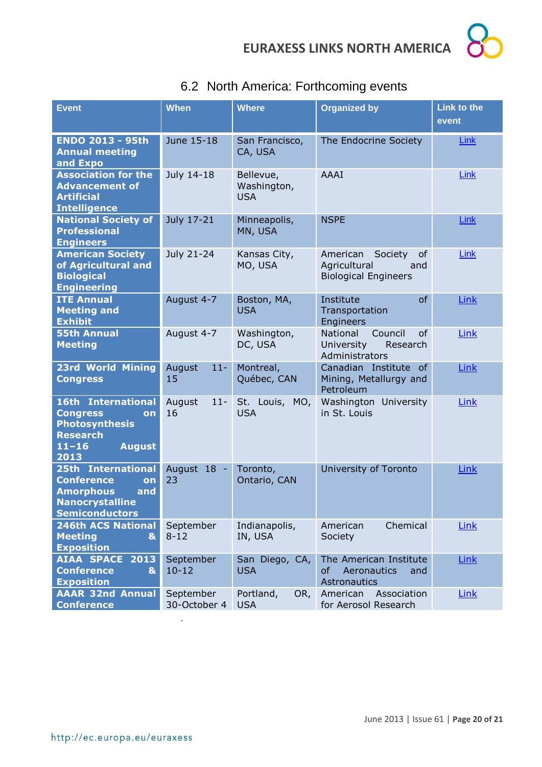

| <b>Event</b>                                                                                                                  | <b>When</b>               | <b>Where</b>                           | <b>Organized by</b>                                                             | <b>Link to the</b><br>event |
|-------------------------------------------------------------------------------------------------------------------------------|---------------------------|----------------------------------------|---------------------------------------------------------------------------------|-----------------------------|
| <b>ENDO 2013 - 95th</b><br><b>Annual meeting</b><br>and Expo                                                                  | June 15-18                | San Francisco,<br>CA, USA              | The Endocrine Society                                                           | <b>Link</b>                 |
| <b>Association for the</b><br><b>Advancement of</b><br><b>Artificial</b><br><b>Intelligence</b>                               | July 14-18                | Bellevue,<br>Washington,<br><b>USA</b> | AAAI                                                                            | <b>Link</b>                 |
| <b>National Society of</b><br><b>Professional</b><br><b>Engineers</b>                                                         | July 17-21                | Minneapolis,<br>MN, USA                | <b>NSPE</b>                                                                     | <b>Link</b>                 |
| <b>American Society</b><br>of Agricultural and<br><b>Biological</b><br><b>Engineering</b>                                     | July 21-24                | Kansas City,<br>MO, USA                | Society<br>American<br>of<br>Agricultural<br>and<br><b>Biological Engineers</b> | Link                        |
| <b>ITE Annual</b><br><b>Meeting and</b><br><b>Exhibit</b>                                                                     | August 4-7                | Boston, MA,<br><b>USA</b>              | Institute<br>of<br>Transportation<br>Engineers                                  | <b>Link</b>                 |
| <b>55th Annual</b><br><b>Meeting</b>                                                                                          | August 4-7                | Washington,<br>DC, USA                 | National<br>Council<br>0f<br>University<br>Research<br>Administrators           | Link                        |
| <b>23rd World Mining</b><br><b>Congress</b>                                                                                   | August<br>$11-$<br>15     | Montreal,<br>Québec, CAN               | Canadian Institute of<br>Mining, Metallurgy and<br>Petroleum                    | <b>Link</b>                 |
| 16th International<br><b>Congress</b><br>on<br><b>Photosynthesis</b><br><b>Research</b><br><b>August</b><br>$11 - 16$<br>2013 | $11 -$<br>August<br>16    | St. Louis, MO,<br><b>USA</b>           | Washington University<br>in St. Louis                                           | Link                        |
| 25th International<br><b>Conference</b><br>on<br><b>Amorphous</b><br>and<br><b>Nanocrystalline</b><br><b>Semiconductors</b>   | August 18 -<br>23         | Toronto,<br>Ontario, CAN               | University of Toronto                                                           | Link                        |
| <b>246th ACS National</b><br><b>Meeting</b><br>$\mathbf{g}$<br><b>Exposition</b>                                              | September<br>$8 - 12$     | Indianapolis,<br>IN, USA               | Chemical<br>American<br>Society                                                 | Link                        |
| <b>AIAA SPACE</b><br>2013<br><b>Conference</b><br>$\mathbf{g}$<br><b>Exposition</b>                                           | September<br>$10 - 12$    | San Diego, CA,<br><b>USA</b>           | The American Institute<br>of<br>Aeronautics<br>and<br>Astronautics              | Link                        |
| <b>AAAR 32nd Annual</b><br><b>Conference</b>                                                                                  | September<br>30-October 4 | OR,<br>Portland,<br><b>USA</b>         | American<br>Association<br>for Aerosol Research                                 | <b>Link</b>                 |

## <span id="page-19-0"></span>6.2 North America: Forthcoming events

.